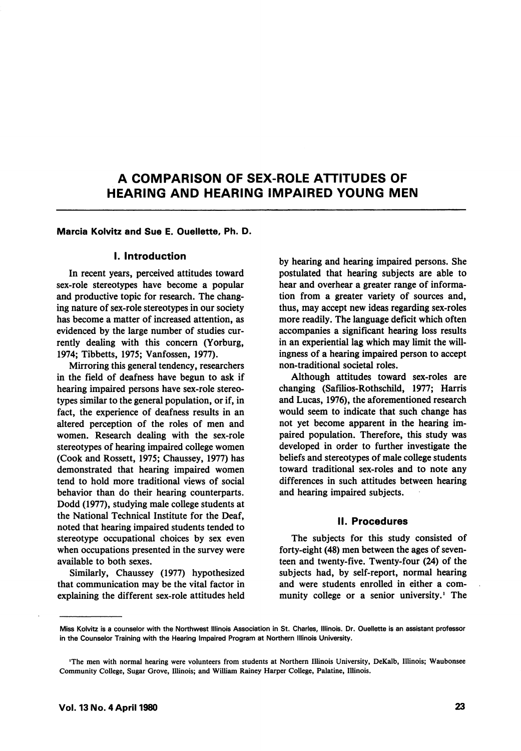# A COMPARISON OF SEX-ROLE ATTITUDES OF HEARING AND HEARING IMPAIRED YOUNG MEN

### Marcia Kolvitz and Sue E. Ouellette, Ph. D.

#### I. Introduction

In recent years, perceived attitudes toward sex-role stereotypes have become a popular and productive topic for research. The chang ing nature of sex-role stereotypes in our society has become a matter of increased attention, as evidenced by the large number of studies cur rently dealing with this concern (Yorburg, 1974; Tibbetts, 1975; Vanfossen, 1977).

Mirroring this general tendency, researchers in the field of deafness have begun to ask if hearing impaired persons have sex-role stereo types similar to the general population, or if, in fact, the experience of deafness results in an altered perception of the roles of men and women. Research dealing with the sex-role stereotypes of hearing impaired college women (Cook and Rossett, 1975; Chaussey, 1977) has demonstrated that hearing impaired women tend to hold more traditional views of social behavior than do their hearing counterparts. Dodd (1977), studying male college students at the National Technical Institute for the Deaf, noted that hearing impaired students tended to stereotype occupational choices by sex even when occupations presented in the survey were available to both sexes.

Similarly, Chaussey (1977) hypothesized that communication may be the vital factor in explaining the different sex-role attitudes held by hearing and hearing impaired persons. She postulated that hearing subjects are able to hear and overhear a greater range of informa tion from a greater variety of sources and, thus, may accept new ideas regarding sex-roles more readily. The language deficit which often accompanies a significant hearing loss results in an experiential lag which may limit the will ingness of a hearing impaired person to accept non-traditional societal roles.

Although attitudes toward sex-roles are changing (Safilios-Rothschild, 1977; Harris and Lucas, 1976), the aforementioned research would seem to indicate that such change has not yet become apparent in the hearing im paired population. Therefore, this study was developed in order to further investigate the beliefs and stereotypes of male college students toward traditional sex-roles and to note any differences in such attitudes between hearing and hearing impaired subjects.

#### 11. Procedures

The subjects for this study consisted of forty-eight (48) men between the ages of seven teen and twenty-five. Twenty-four (24) of the subjects had, by self-report, normal hearing and were students enrolled in either a com munity college or a senior university.' The

Miss Kolvitz is a counselor with the Northwest Illinois Association in St. Charles, Illinois. Dr. Ouellette is an assistant professor in the Counselor Training with the Hearing Impaired Program at Northern Illinois University.

<sup>&#</sup>x27;The men with normal hearing were volunteers from students at Northern Illinois University, DeKalb, Illinois; Waubonsee Community College, Sugar Grove, Illinois; and William Rainey Harper College, Palatine, Illinois.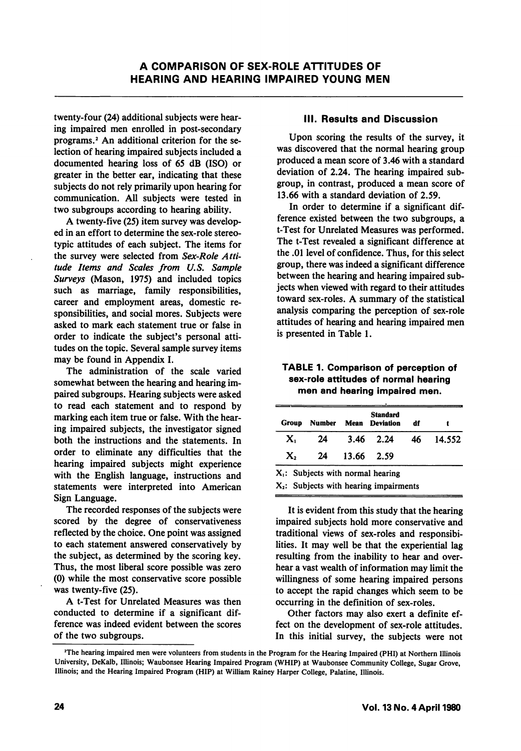twenty-four (24) additional subjects were hear ing impaired men enrolled in post-secondary programs.<sup>2</sup> An additional criterion for the selection of hearing impaired subjects included a documented hearing loss of 65 dB (ISO) or greater in the better ear, indicating that these subjects do not rely primarily upon hearing for communication. All subjects were tested in two subgroups according to hearing ability.

A twenty-five (25) item survey was develop ed in an effort to determine the sex-role stereotypic attitudes of each subject. The items for the survey were selected from Sex-Role Attitude Items and Scales from U,S, Sample Surveys (Mason, 1975) and included topics such as marriage, family responsibilities, career and employment areas, domestic re sponsibilities, and social mores. Subjects were asked to mark each statement true or false in order to indicate the subject's personal atti tudes on the topic. Several sample survey items may be found in Appendix I.

The administration of the scale varied somewhat between the hearing and hearing im paired subgroups. Hearing subjects were asked to read each statement and to respond by marking each item true or false. With the hear ing impaired subjects, the investigator signed both the instructions and the statements. In order to eliminate any difficulties that the hearing impaired subjects might experience with the English language, instructions and statements were interpreted into American Sign Language.

The recorded responses of the subjects were scored by the degree of conservativeness reflected by the choice. One point was assigned to each statement answered conservatively by the subject, as determined by the scoring key. Thus, the most liberal score possible was zero (0) while the most conservative score possible was twenty-five (25).

A t-Test for Unrelated Measures was then conducted to determine if a significant dif ference was indeed evident between the scores of the two subgroups.

### III. Results and Discussion

Upon scoring the results of the survey, it was discovered that the normal hearing group produced a mean score of 3.46 with a standard deviation of 2.24. The hearing impaired sub group, in contrast, produced a mean score of 13.66 with a standard deviation of 2.59.

In order to determine if a significant dif ference existed between the two subgroups, a t-Test for Unrelated Measures was performed. The t-Test revealed a significant difference at the .01 level of confidence. Thus, for this select group, there was indeed a significant difference between the hearing and hearing impaired sub jects when viewed with regard to their attitudes toward sex-roles. A summary of the statistical analysis comparing the perception of sex-role attitudes of hearing and hearing impaired men is presented in Table 1.

### TABLE 1. Comparison of perception of sex-role attitudes of normal hearing men and hearing impaired men.

| Group | Number                               | <b>Standard</b><br><b>Mean</b> Deviation  | df  |        |
|-------|--------------------------------------|-------------------------------------------|-----|--------|
| X.    | 24                                   | $3.46$ $2.24$                             | 46. | 14.552 |
| Х,    | 24                                   | 13.66 2.59                                |     |        |
|       | $X_i$ : Subjects with normal hearing |                                           |     |        |
|       |                                      | $X_2$ : Subjects with hearing impairments |     |        |

It is evident from this study that the hearing impaired subjects hold more conservative and traditional views of sex-roles and responsibi lities. It may well be that the experiential lag resulting from the inability to hear and over hear a vast wealth of information may limit the willingness of some hearing impaired persons to accept the rapid changes which seem to be occurring in the definition of sex-roles.

Other factors may also exert a definite ef fect on the development of sex-role attitudes. In this initial survey, the subjects were not

<sup>&#</sup>x27;The hearing impaired men were volunteers from students in the Program for the Hearing Impaired (PHI) at Northern Illinois University, DeKalb, Illinois; Waubonsee Hearing Impaired Program (WHIP) at Waubonsee Community College, Sugar Grove, Illinois; and the Hearing Impaired Program (HIP) at William Rainey Harper College, Palatine, Illinois.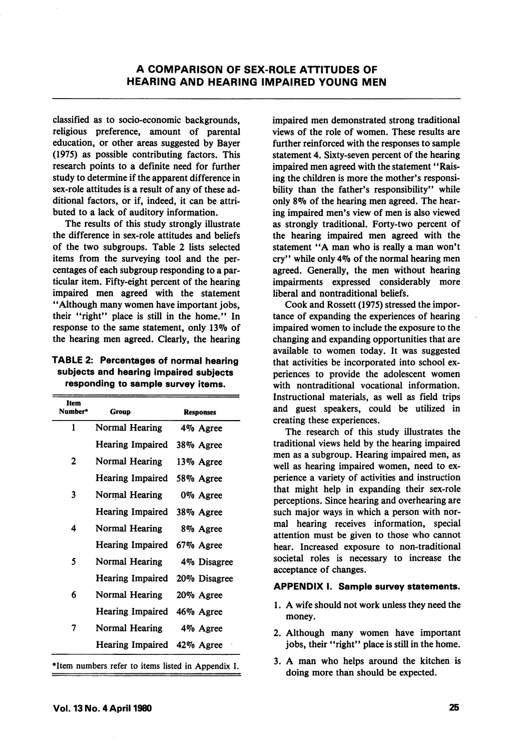classified as to socio-economic backgrounds, religious preference, amount of parental education, or other areas suggested by Bayer (1975) as possible contributing factors. This research points to a definite need for further study to determine if the apparent difference in sex-role attitudes is a result of any of these ad ditional factors, or if, indeed, it can be attri buted to a lack of auditory information.

The results of this study strongly illustrate the difference in sex-role attitudes and beliefs of the two subgroups. Table 2 lists selected items from the surveying tool and the per centages of each subgroup responding to a par ticular item. Fifty-eight percent of the hearing impaired men agreed with the statement \*'Although many women have important jobs, their "right" place is still in the home." In response to the same statement, only 13% of the hearing men agreed. Clearly, the hearing

TABLE 2: Percentages of normal hearing subjects and hearing impaired subjects responding to sample survey items.

| Item<br>Number*                                    | Group                      | Responses    |  |  |
|----------------------------------------------------|----------------------------|--------------|--|--|
| 1                                                  | Normal Hearing             | 4% Agree     |  |  |
|                                                    | <b>Hearing Impaired</b>    | 38% Agree    |  |  |
| 2                                                  | Normal Hearing             | 13% Agree    |  |  |
|                                                    | Hearing Impaired           | 58% Agree    |  |  |
| 3                                                  | Normal Hearing             | 0% Agree     |  |  |
|                                                    | Hearing Impaired           | 38% Agree    |  |  |
| 4                                                  | Normal Hearing             | 8% Agree     |  |  |
|                                                    | Hearing Impaired           | 67% Agree    |  |  |
| 5                                                  | Normal Hearing             | 4% Disagree  |  |  |
|                                                    | Hearing Impaired           | 20% Disagree |  |  |
| 6                                                  | Normal Hearing             | 20% Agree    |  |  |
|                                                    | Hearing Impaired           | 46% Agree    |  |  |
| 7                                                  | Normal Hearing             | 4% Agree     |  |  |
|                                                    | Hearing Impaired 42% Agree |              |  |  |
| *Item numbers refer to items listed in Appendix I. |                            |              |  |  |

impaired men demonstrated strong traditional views of the role of women. These results are further reinforced with the responses to sample statement 4. Sixty-seven percent of the hearing impaired men agreed with the statement "Raising the children is more the mother's responsi bility than the father's responsibility" while only 89o of the hearing men agreed. The hear ing impaired men's view of men is also viewed as strongly traditional. Forty-two percent of the hearing impaired men agreed with the statement "A man who is really a man won't cry" while only 49o of the normal hearing men agreed. Generally, the men without hearing impairments expressed considerably more liberal and nontraditional beliefs.

Cook and Rossett (1975) stressed the impor tance of expanding the experiences of hearing impaired women to include the exposure to the changing and expanding opportunities that are available to women today. It was suggested that activities be incorporated into school ex periences to provide the adolescent women with nontraditional vocational information. Instructional materials, as well as field trips and guest speakers, could be utilized in creating these experiences.

The research of this study illustrates the traditional views held by the hearing impaired men as a subgroup. Hearing impaired men, as well as hearing impaired women, need to ex perience a variety of activities and instruction that might help in expanding their sex-role perceptions. Since hearing and overhearing are such major ways in which a person with nor mal hearing receives information, special attention must be given to those who cannot hear. Increased exposure to non-traditional societal roles is necessary to increase the acceptance of changes.

### APPENDIX I. Sample survey statements.

- 1. A wife should not work unless they need the money.
- 2. Although many women have important jobs, their "right" place is still in the home.
- 3. A man who helps around the kitchen is doing more than should be expected.